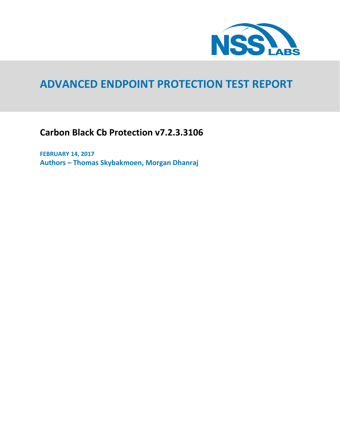

# **ADVANCED ENDPOINT PROTECTION TEST REPORT**

**Carbon Black Cb Protection v7.2.3.3106**

**FEBRUARY 14, 2017 Authors – Thomas Skybakmoen, Morgan Dhanraj**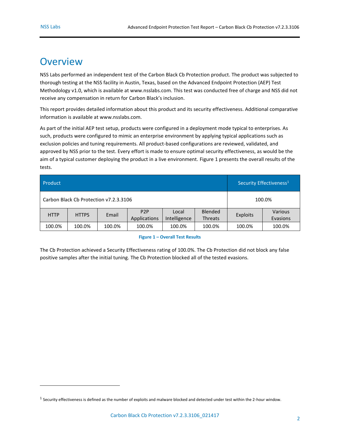$\overline{a}$ 

## <span id="page-1-1"></span>**Overview**

NSS Labs performed an independent test of the Carbon Black Cb Protection product. The product was subjected to thorough testing at the NSS facility in Austin, Texas, based on the Advanced Endpoint Protection (AEP) Test Methodology v1.0, which is available a[t www.nsslabs.com.](http://www.nsslabs.com./) This test was conducted free of charge and NSS did not receive any compensation in return for Carbon Black's inclusion.

This report provides detailed information about this product and its security effectiveness. Additional comparative information is available a[t www.nsslabs.com.](http://www.nsslabs.com/)

As part of the initial AEP test setup, products were configured in a deployment mode typical to enterprises. As such, products were configured to mimic an enterprise environment by applying typical applications such as exclusion policies and tuning requirements. All product-based configurations are reviewed, validated, and approved by NSS prior to the test. Every effort is made to ensure optimal security effectiveness, as would be the aim of a typical customer deploying the product in a live environment[. Figure 1](#page-1-0) presents the overall results of the tests.

| Product                                |              | Security Effectiveness <sup>1</sup> |                                  |                       |                                  |                 |                     |
|----------------------------------------|--------------|-------------------------------------|----------------------------------|-----------------------|----------------------------------|-----------------|---------------------|
| Carbon Black Cb Protection v7.2.3.3106 |              |                                     |                                  |                       |                                  | 100.0%          |                     |
| <b>HTTP</b>                            | <b>HTTPS</b> | Email                               | P <sub>2</sub> P<br>Applications | Local<br>Intelligence | <b>Blended</b><br><b>Threats</b> | <b>Exploits</b> | Various<br>Evasions |
| 100.0%                                 | 100.0%       | 100.0%                              | 100.0%                           | 100.0%                | 100.0%                           | 100.0%          | 100.0%              |

#### **Figure 1 – Overall Test Results**

<span id="page-1-0"></span>The Cb Protection achieved a Security Effectiveness rating of 100.0%. The Cb Protection did not block any false positive samples after the initial tuning. The Cb Protection blocked all of the tested evasions.

 $^1$  Security effectiveness is defined as the number of exploits and malware blocked and detected under test within the 2-hour window.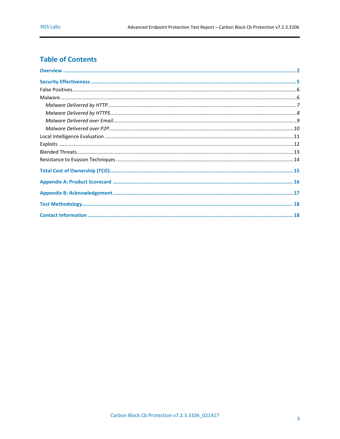### **Table of Contents**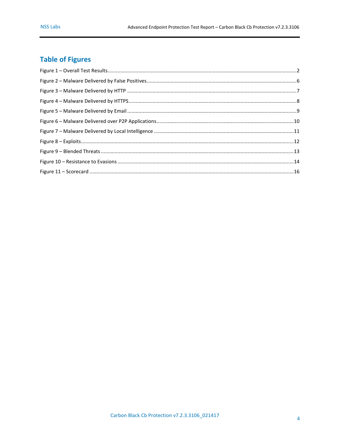## **Table of Figures**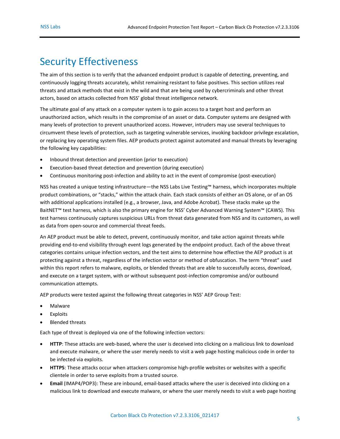## <span id="page-4-0"></span>Security Effectiveness

The aim of this section is to verify that the advanced endpoint product is capable of detecting, preventing, and continuously logging threats accurately, whilst remaining resistant to false positives. This section utilizes real threats and attack methods that exist in the wild and that are being used by cybercriminals and other threat actors, based on attacks collected from NSS' global threat intelligence network.

The ultimate goal of any attack on a computer system is to gain access to a target host and perform an unauthorized action, which results in the compromise of an asset or data. Computer systems are designed with many levels of protection to prevent unauthorized access. However, intruders may use several techniques to circumvent these levels of protection, such as targeting vulnerable services, invoking backdoor privilege escalation, or replacing key operating system files. AEP products protect against automated and manual threats by leveraging the following key capabilities:

- Inbound threat detection and prevention (prior to execution)
- Execution-based threat detection and prevention (during execution)
- Continuous monitoring post-infection and ability to act in the event of compromise (post-execution)

NSS has created a unique testing infrastructure—the NSS Labs Live Testing™ harness, which incorporates multiple product combinations, or "stacks," within the attack chain. Each stack consists of either an OS alone, or of an OS with additional applications installed (e.g., a browser, Java, and Adobe Acrobat). These stacks make up the BaitNET™ test harness, which is also the primary engine for NSS' Cyber Advanced Warning System™ (CAWS). This test harness continuously captures suspicious URLs from threat data generated from NSS and its customers, as well as data from open-source and commercial threat feeds.

An AEP product must be able to detect, prevent, continuously monitor, and take action against threats while providing end-to-end visibility through event logs generated by the endpoint product. Each of the above threat categories contains unique infection vectors, and the test aims to determine how effective the AEP product is at protecting against a threat, regardless of the infection vector or method of obfuscation. The term "threat" used within this report refers to malware, exploits, or blended threats that are able to successfully access, download, and execute on a target system, with or without subsequent post-infection compromise and/or outbound communication attempts.

AEP products were tested against the following threat categories in NSS' AEP Group Test:

- Malware
- Exploits
- Blended threats

Each type of threat is deployed via one of the following infection vectors:

- **HTTP**: These attacks are web-based, where the user is deceived into clicking on a malicious link to download and execute malware, or where the user merely needs to visit a web page hosting malicious code in order to be infected via exploits.
- **HTTPS**: These attacks occur when attackers compromise high-profile websites or websites with a specific clientele in order to serve exploits from a trusted source.
- **Email** (IMAP4/POP3): These are inbound, email-based attacks where the user is deceived into clicking on a malicious link to download and execute malware, or where the user merely needs to visit a web page hosting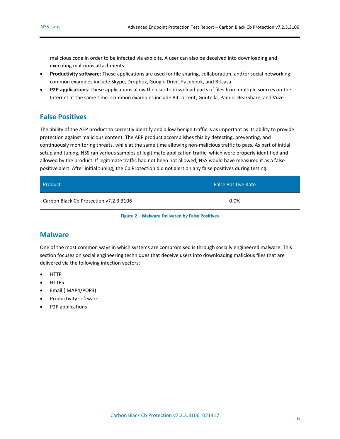malicious code in order to be infected via exploits. A user can also be deceived into downloading and executing malicious attachments.

- **Productivity software**: These applications are used for file sharing, collaboration, and/or social networking; common examples include Skype, Dropbox, Google Drive, Facebook, and Bitcasa.
- **P2P applications**: These applications allow the user to download parts of files from multiple sources on the Internet at the same time. Common examples include BitTorrent, Gnutella, Pando, BearShare, and Vuze.

#### <span id="page-5-0"></span>**False Positives**

The ability of the AEP product to correctly identify and allow benign traffic is as important as its ability to provide protection against malicious content. The AEP product accomplishes this by detecting, preventing, and continuously monitoring threats, while at the same time allowing non-malicious traffic to pass. As part of initial setup and tuning, NSS ran various samples of legitimate application traffic, which were properly identified and allowed by the product. If legitimate traffic had not been not allowed, NSS would have measured it as a false positive alert. After initial tuning, the Cb Protection did not alert on any false positives during testing.

| Product                                | <b>False Positive Rate</b> |
|----------------------------------------|----------------------------|
| Carbon Black Cb Protection v7.2.3.3106 | 0.0%                       |

**Figure 2 – Malware Delivered by False Positives**

#### <span id="page-5-2"></span><span id="page-5-1"></span>**Malware**

One of the most common ways in which systems are compromised is through socially engineered malware. This section focuses on social engineering techniques that deceive users into downloading malicious files that are delivered via the following infection vectors:

- **HTTP**
- **HTTPS**
- Email (IMAP4/POP3)
- Productivity software
- P2P applications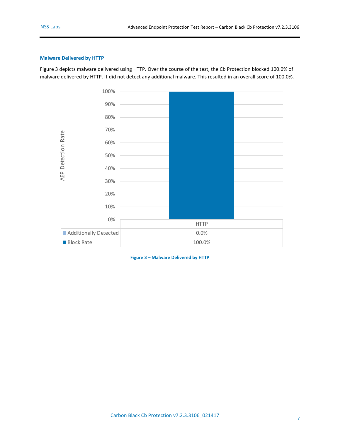#### <span id="page-6-0"></span>**Malware Delivered by HTTP**

[Figure 3](#page-6-1) depicts malware delivered using HTTP. Over the course of the test, the Cb Protection blocked 100.0% of malware delivered by HTTP. It did not detect any additional malware. This resulted in an overall score of 100.0%.



<span id="page-6-1"></span>**Figure 3 – Malware Delivered by HTTP**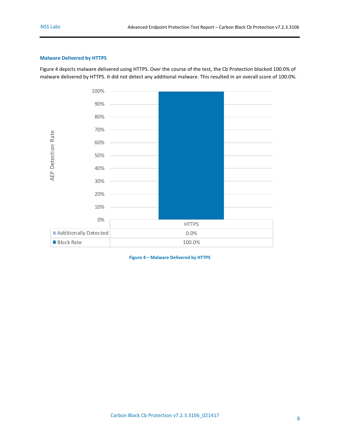#### <span id="page-7-0"></span>**Malware Delivered by HTTPS**

[Figure 4](#page-7-1) depicts malware delivered using HTTPS. Over the course of the test, the Cb Protection blocked 100.0% of malware delivered by HTTPS. It did not detect any additional malware. This resulted in an overall score of 100.0%.



<span id="page-7-1"></span>**Figure 4 – Malware Delivered by HTTPS**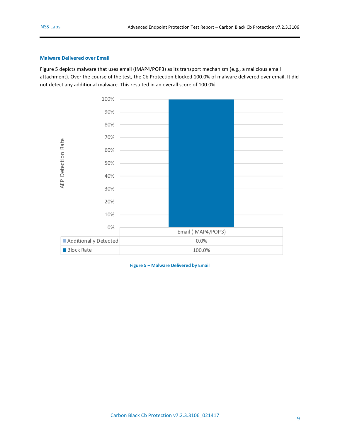#### <span id="page-8-0"></span>**Malware Delivered over Email**

[Figure 5](#page-8-1) depicts malware that uses email (IMAP4/POP3) as its transport mechanism (e.g., a malicious email attachment). Over the course of the test, the Cb Protection blocked 100.0% of malware delivered over email. It did not detect any additional malware. This resulted in an overall score of 100.0%.



<span id="page-8-1"></span>**Figure 5 – Malware Delivered by Email**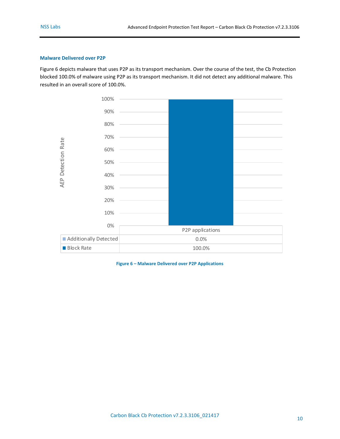#### <span id="page-9-0"></span>**Malware Delivered over P2P**

[Figure 6](#page-9-1) depicts malware that uses P2P as its transport mechanism. Over the course of the test, the Cb Protection blocked 100.0% of malware using P2P as its transport mechanism. It did not detect any additional malware. This resulted in an overall score of 100.0%.



<span id="page-9-1"></span>**Figure 6 – Malware Delivered over P2P Applications**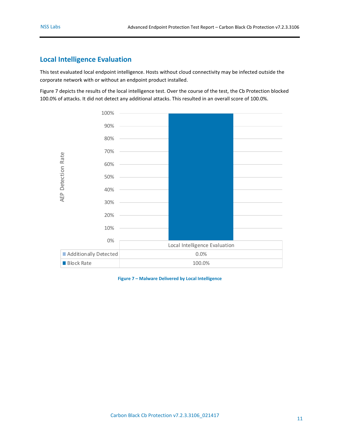### <span id="page-10-0"></span>**Local Intelligence Evaluation**

This test evaluated local endpoint intelligence. Hosts without cloud connectivity may be infected outside the corporate network with or without an endpoint product installed.

[Figure 7](#page-10-1) depicts the results of the local intelligence test. Over the course of the test, the Cb Protection blocked 100.0% of attacks. It did not detect any additional attacks. This resulted in an overall score of 100.0%.



<span id="page-10-1"></span>**Figure 7 – Malware Delivered by Local Intelligence**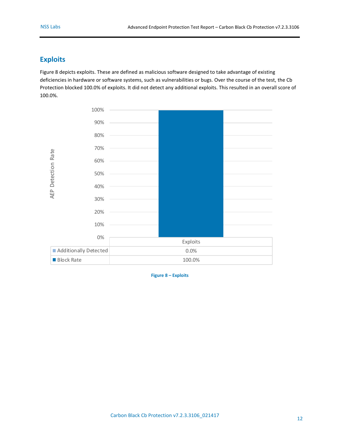### <span id="page-11-0"></span>**Exploits**

[Figure 8](#page-11-1) depicts exploits. These are defined as malicious software designed to take advantage of existing deficiencies in hardware or software systems, such as vulnerabilities or bugs. Over the course of the test, the Cb Protection blocked 100.0% of exploits. It did not detect any additional exploits. This resulted in an overall score of 100.0%.



<span id="page-11-1"></span>**Figure 8 – Exploits**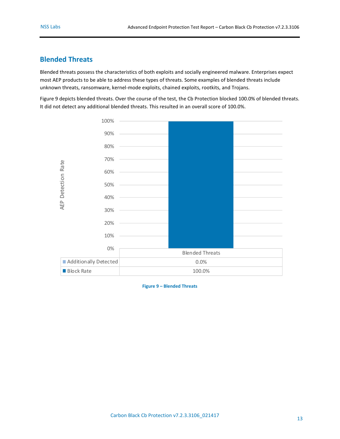### <span id="page-12-0"></span>**Blended Threats**

Blended threats possess the characteristics of both exploits and socially engineered malware. Enterprises expect most AEP products to be able to address these types of threats. Some examples of blended threats include unknown threats, ransomware, kernel-mode exploits, chained exploits, rootkits, and Trojans.

[Figure 9](#page-12-1) depicts blended threats. Over the course of the test, the Cb Protection blocked 100.0% of blended threats. It did not detect any additional blended threats. This resulted in an overall score of 100.0%.



<span id="page-12-1"></span>**Figure 9 – Blended Threats**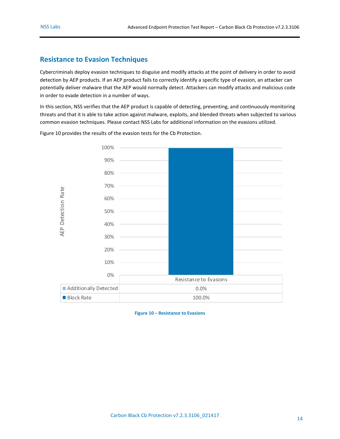### <span id="page-13-0"></span>**Resistance to Evasion Techniques**

Cybercriminals deploy evasion techniques to disguise and modify attacks at the point of delivery in order to avoid detection by AEP products. If an AEP product fails to correctly identify a specific type of evasion, an attacker can potentially deliver malware that the AEP would normally detect. Attackers can modify attacks and malicious code in order to evade detection in a number of ways.

In this section, NSS verifies that the AEP product is capable of detecting, preventing, and continuously monitoring threats and that it is able to take action against malware, exploits, and blended threats when subjected to various common evasion techniques. Please contact NSS Labs for additional information on the evasions utilized.

100% 90% 80% 70% **AEP Detection Rate** AEP Detection Rate60% 50% 40% 30% 20% 10% 0% Resistance to Evasions **Additionally Detected 1.00% 0.0%** Block Rate 100.0%

[Figure 10](#page-13-1) provides the results of the evasion tests for the Cb Protection.

<span id="page-13-1"></span>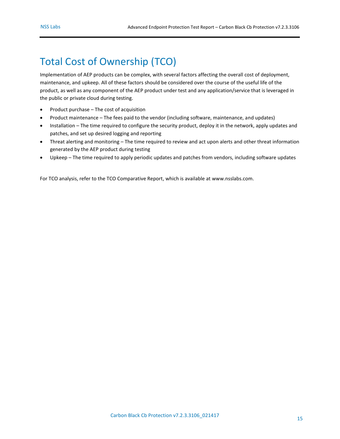# <span id="page-14-0"></span>Total Cost of Ownership (TCO)

Implementation of AEP products can be complex, with several factors affecting the overall cost of deployment, maintenance, and upkeep. All of these factors should be considered over the course of the useful life of the product, as well as any component of the AEP product under test and any application/service that is leveraged in the public or private cloud during testing.

- Product purchase The cost of acquisition
- Product maintenance The fees paid to the vendor (including software, maintenance, and updates)
- Installation The time required to configure the security product, deploy it in the network, apply updates and patches, and set up desired logging and reporting
- Threat alerting and monitoring The time required to review and act upon alerts and other threat information generated by the AEP product during testing
- Upkeep The time required to apply periodic updates and patches from vendors, including software updates

For TCO analysis, refer to the TCO Comparative Report, which is available a[t www.nsslabs.com.](http://www.nsslabs.com/)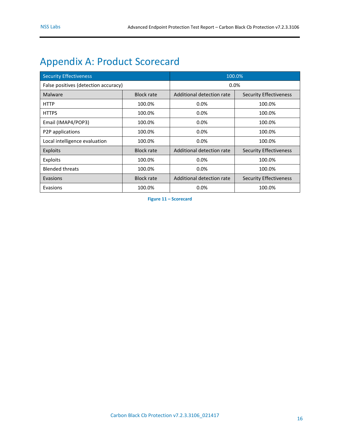# <span id="page-15-0"></span>Appendix A: Product Scorecard

| <b>Security Effectiveness</b>        |                   | 100.0%                    |                               |  |
|--------------------------------------|-------------------|---------------------------|-------------------------------|--|
| False positives (detection accuracy) |                   | 0.0%                      |                               |  |
| Malware                              | <b>Block rate</b> | Additional detection rate | <b>Security Effectiveness</b> |  |
| <b>HTTP</b>                          | 100.0%            | 0.0%                      | 100.0%                        |  |
| <b>HTTPS</b>                         | 100.0%            | $0.0\%$                   | 100.0%                        |  |
| Email (IMAP4/POP3)                   | 100.0%            | 0.0%                      | 100.0%                        |  |
| P2P applications                     | 100.0%            | 0.0%                      | 100.0%                        |  |
| Local intelligence evaluation        | 100.0%            | 0.0%                      | 100.0%                        |  |
| Exploits                             | <b>Block rate</b> | Additional detection rate | <b>Security Effectiveness</b> |  |
| Exploits                             | 100.0%            | 0.0%                      | 100.0%                        |  |
| <b>Blended threats</b>               | 100.0%            | $0.0\%$                   | 100.0%                        |  |
| Evasions                             | <b>Block rate</b> | Additional detection rate | <b>Security Effectiveness</b> |  |
| Evasions                             | 100.0%            | 0.0%                      | 100.0%                        |  |

<span id="page-15-1"></span>**Figure 11 – Scorecard**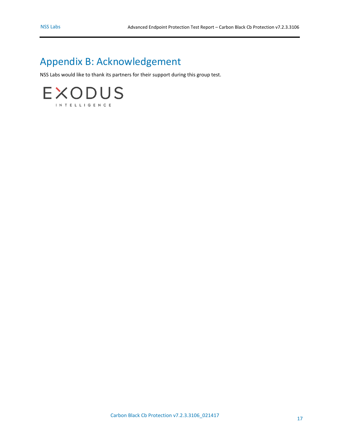# <span id="page-16-0"></span>Appendix B: Acknowledgement

NSS Labs would like to thank its partners for their support during this group test.